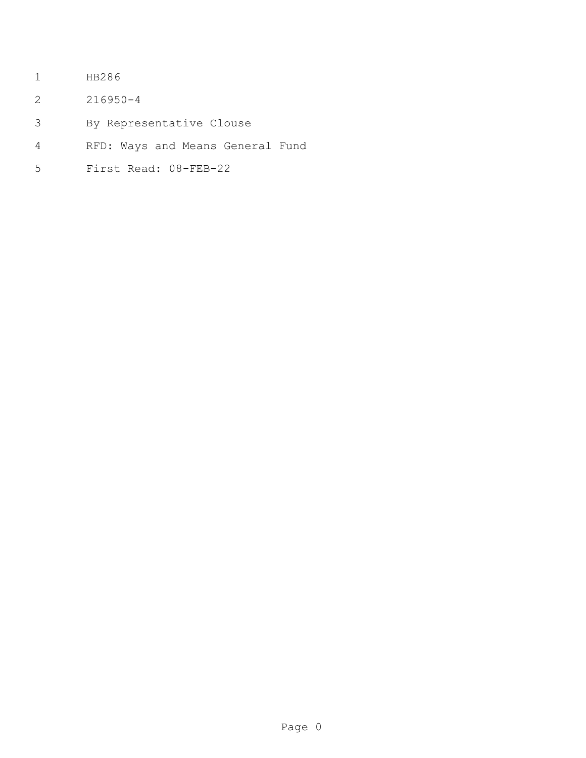- HB286
- 216950-4
- By Representative Clouse
- RFD: Ways and Means General Fund
- First Read: 08-FEB-22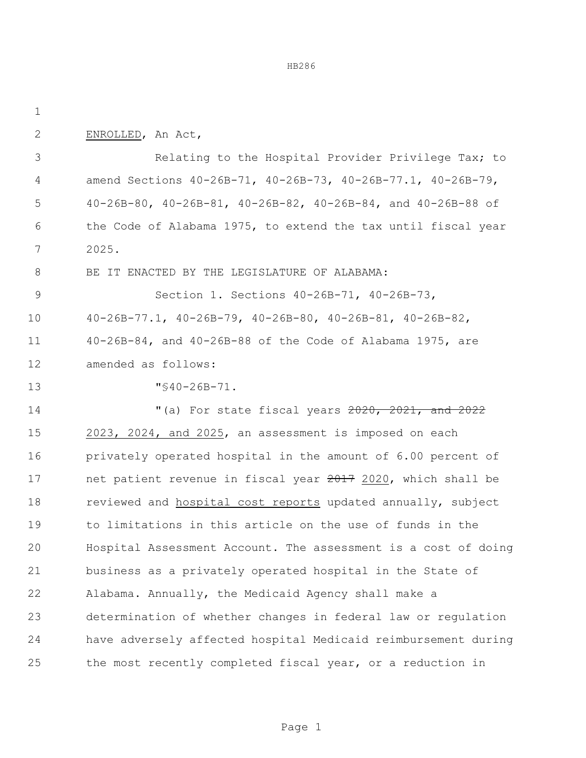| $\mathbf{2}$ | ENROLLED, An Act,                                                       |
|--------------|-------------------------------------------------------------------------|
| 3            | Relating to the Hospital Provider Privilege Tax; to                     |
| 4            | amend Sections 40-26B-71, 40-26B-73, 40-26B-77.1, 40-26B-79,            |
| 5            | 40-26B-80, 40-26B-81, 40-26B-82, 40-26B-84, and 40-26B-88 of            |
| 6            | the Code of Alabama 1975, to extend the tax until fiscal year           |
| 7            | 2025.                                                                   |
| 8            | BE IT ENACTED BY THE LEGISLATURE OF ALABAMA:                            |
| 9            | Section 1. Sections 40-26B-71, 40-26B-73,                               |
| 10           | $40-26B-77.1$ , $40-26B-79$ , $40-26B-80$ , $40-26B-81$ , $40-26B-82$ , |
| 11           | $40 - 26B - 84$ , and $40 - 26B - 88$ of the Code of Alabama 1975, are  |
| 12           | amended as follows:                                                     |
| 13           | $\sqrt{540-26B-71}$ .                                                   |
| 14           | "(a) For state fiscal years 2020, 2021, and 2022                        |
| 15           | 2023, 2024, and 2025, an assessment is imposed on each                  |
| 16           | privately operated hospital in the amount of 6.00 percent of            |
| 17           | net patient revenue in fiscal year 2017 2020, which shall be            |
| 18           | reviewed and hospital cost reports updated annually, subject            |
| 19           | to limitations in this article on the use of funds in the               |
| 20           | Hospital Assessment Account. The assessment is a cost of doing          |
| 21           | business as a privately operated hospital in the State of               |
| 22           | Alabama. Annually, the Medicaid Agency shall make a                     |
| 23           | determination of whether changes in federal law or regulation           |
| 24           | have adversely affected hospital Medicaid reimbursement during          |
| 25           | the most recently completed fiscal year, or a reduction in              |

Page 1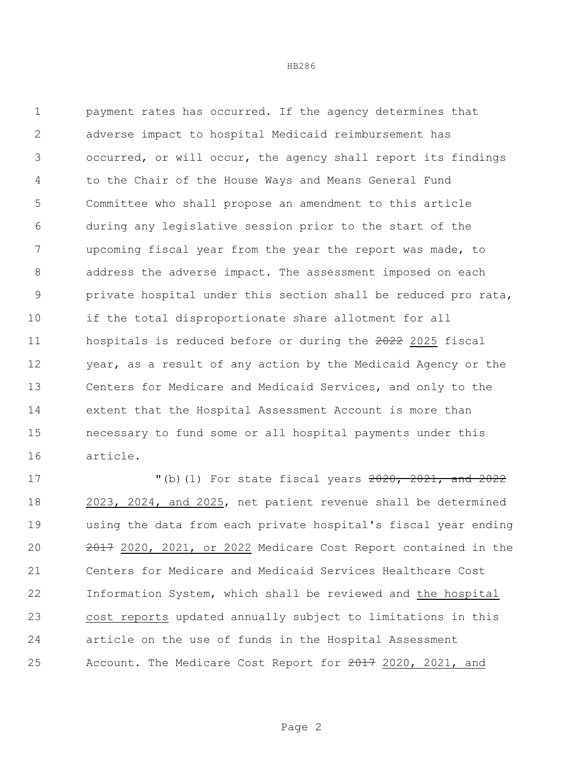payment rates has occurred. If the agency determines that adverse impact to hospital Medicaid reimbursement has occurred, or will occur, the agency shall report its findings to the Chair of the House Ways and Means General Fund Committee who shall propose an amendment to this article during any legislative session prior to the start of the upcoming fiscal year from the year the report was made, to address the adverse impact. The assessment imposed on each private hospital under this section shall be reduced pro rata, if the total disproportionate share allotment for all 11 hospitals is reduced before or during the 2022 2025 fiscal year, as a result of any action by the Medicaid Agency or the Centers for Medicare and Medicaid Services, and only to the extent that the Hospital Assessment Account is more than necessary to fund some or all hospital payments under this article.

 "(b)(1) For state fiscal years 2020, 2021, and 2022 2023, 2024, and 2025, net patient revenue shall be determined using the data from each private hospital's fiscal year ending 2017 2020, 2021, or 2022 Medicare Cost Report contained in the Centers for Medicare and Medicaid Services Healthcare Cost Information System, which shall be reviewed and the hospital cost reports updated annually subject to limitations in this article on the use of funds in the Hospital Assessment 25 Account. The Medicare Cost Report for 2020, 2021, and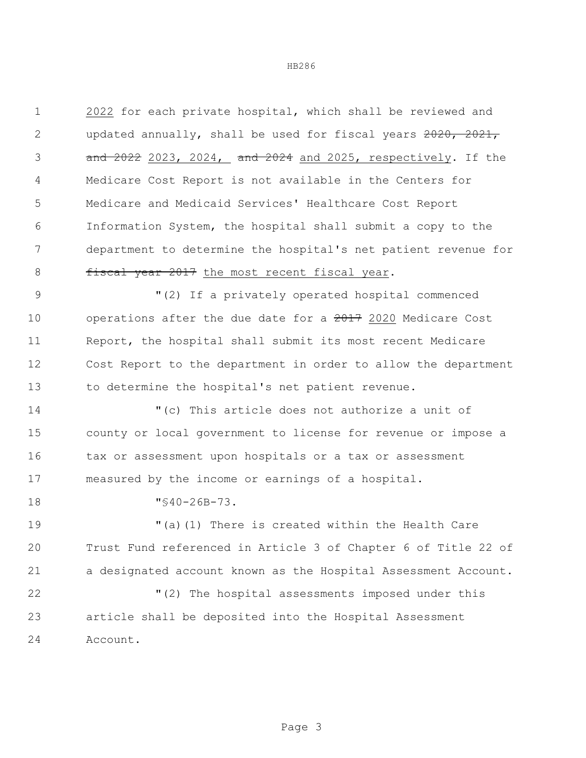2022 for each private hospital, which shall be reviewed and 2 updated annually, shall be used for fiscal years 2020, 2021, and 2022 2023, 2024, and 2024 and 2025, respectively. If the Medicare Cost Report is not available in the Centers for Medicare and Medicaid Services' Healthcare Cost Report Information System, the hospital shall submit a copy to the department to determine the hospital's net patient revenue for 8 fiscal year 2017 the most recent fiscal year.

 "(2) If a privately operated hospital commenced 10 operations after the due date for a 2017 2020 Medicare Cost Report, the hospital shall submit its most recent Medicare Cost Report to the department in order to allow the department to determine the hospital's net patient revenue.

 "(c) This article does not authorize a unit of county or local government to license for revenue or impose a 16 tax or assessment upon hospitals or a tax or assessment measured by the income or earnings of a hospital.

"§40-26B-73.

 "(a)(1) There is created within the Health Care Trust Fund referenced in Article 3 of Chapter 6 of Title 22 of a designated account known as the Hospital Assessment Account.

 "(2) The hospital assessments imposed under this article shall be deposited into the Hospital Assessment Account.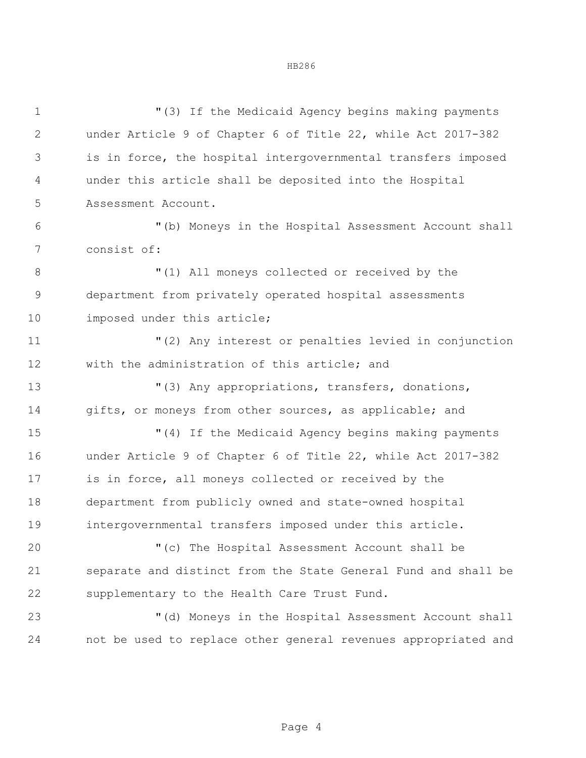"(3) If the Medicaid Agency begins making payments under Article 9 of Chapter 6 of Title 22, while Act 2017-382 is in force, the hospital intergovernmental transfers imposed under this article shall be deposited into the Hospital Assessment Account. "(b) Moneys in the Hospital Assessment Account shall consist of:  $(1)$  All moneys collected or received by the department from privately operated hospital assessments imposed under this article; "(2) Any interest or penalties levied in conjunction with the administration of this article; and "(3) Any appropriations, transfers, donations, 14 gifts, or moneys from other sources, as applicable; and "(4) If the Medicaid Agency begins making payments under Article 9 of Chapter 6 of Title 22, while Act 2017-382 is in force, all moneys collected or received by the department from publicly owned and state-owned hospital intergovernmental transfers imposed under this article. "(c) The Hospital Assessment Account shall be separate and distinct from the State General Fund and shall be supplementary to the Health Care Trust Fund. "(d) Moneys in the Hospital Assessment Account shall not be used to replace other general revenues appropriated and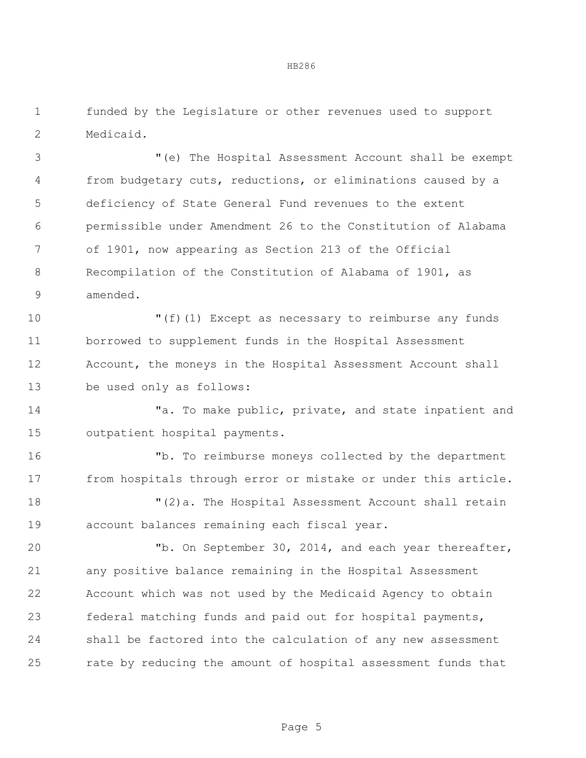funded by the Legislature or other revenues used to support Medicaid.

 "(e) The Hospital Assessment Account shall be exempt from budgetary cuts, reductions, or eliminations caused by a deficiency of State General Fund revenues to the extent permissible under Amendment 26 to the Constitution of Alabama of 1901, now appearing as Section 213 of the Official Recompilation of the Constitution of Alabama of 1901, as amended.

 "(f)(1) Except as necessary to reimburse any funds borrowed to supplement funds in the Hospital Assessment Account, the moneys in the Hospital Assessment Account shall be used only as follows:

14 Ta. To make public, private, and state inpatient and outpatient hospital payments.

 "b. To reimburse moneys collected by the department from hospitals through error or mistake or under this article.

 "(2)a. The Hospital Assessment Account shall retain account balances remaining each fiscal year.

 "b. On September 30, 2014, and each year thereafter, any positive balance remaining in the Hospital Assessment Account which was not used by the Medicaid Agency to obtain federal matching funds and paid out for hospital payments, shall be factored into the calculation of any new assessment rate by reducing the amount of hospital assessment funds that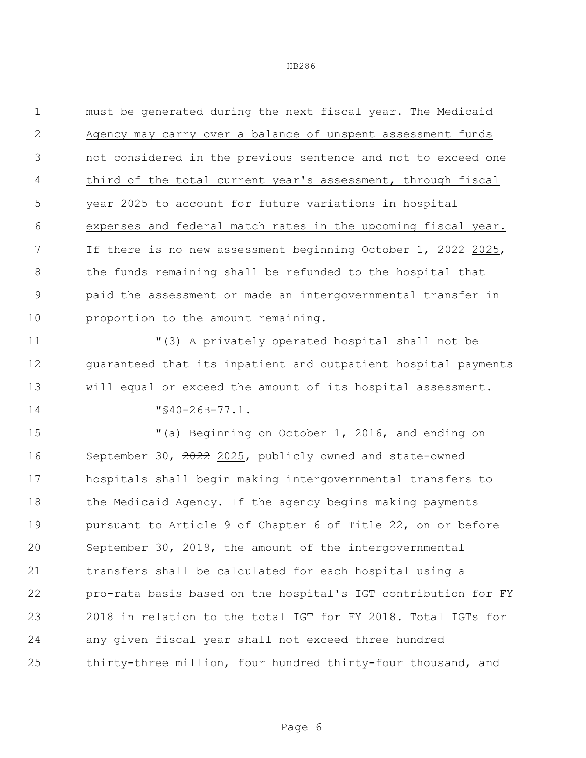must be generated during the next fiscal year. The Medicaid Agency may carry over a balance of unspent assessment funds not considered in the previous sentence and not to exceed one third of the total current year's assessment, through fiscal year 2025 to account for future variations in hospital expenses and federal match rates in the upcoming fiscal year. 7 If there is no new assessment beginning October 1, 2022 2025, the funds remaining shall be refunded to the hospital that paid the assessment or made an intergovernmental transfer in 10 proportion to the amount remaining.

 "(3) A privately operated hospital shall not be guaranteed that its inpatient and outpatient hospital payments will equal or exceed the amount of its hospital assessment.

"§40-26B-77.1.

 "(a) Beginning on October 1, 2016, and ending on September 30, 2022 2025, publicly owned and state-owned hospitals shall begin making intergovernmental transfers to the Medicaid Agency. If the agency begins making payments pursuant to Article 9 of Chapter 6 of Title 22, on or before September 30, 2019, the amount of the intergovernmental transfers shall be calculated for each hospital using a pro-rata basis based on the hospital's IGT contribution for FY 2018 in relation to the total IGT for FY 2018. Total IGTs for any given fiscal year shall not exceed three hundred thirty-three million, four hundred thirty-four thousand, and

Page 6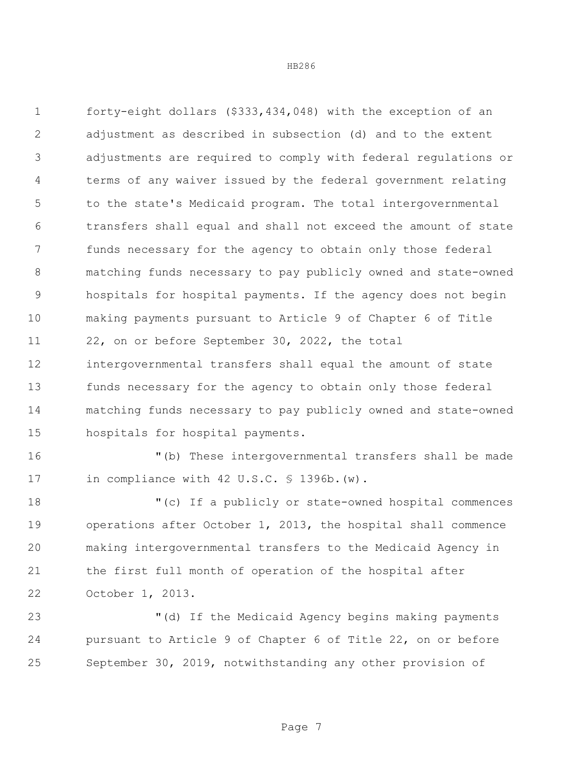forty-eight dollars (\$333,434,048) with the exception of an adjustment as described in subsection (d) and to the extent adjustments are required to comply with federal regulations or terms of any waiver issued by the federal government relating to the state's Medicaid program. The total intergovernmental transfers shall equal and shall not exceed the amount of state funds necessary for the agency to obtain only those federal matching funds necessary to pay publicly owned and state-owned hospitals for hospital payments. If the agency does not begin making payments pursuant to Article 9 of Chapter 6 of Title 22, on or before September 30, 2022, the total intergovernmental transfers shall equal the amount of state funds necessary for the agency to obtain only those federal matching funds necessary to pay publicly owned and state-owned hospitals for hospital payments.

 "(b) These intergovernmental transfers shall be made 17 in compliance with 42 U.S.C. § 1396b. (w).

 "(c) If a publicly or state-owned hospital commences operations after October 1, 2013, the hospital shall commence making intergovernmental transfers to the Medicaid Agency in the first full month of operation of the hospital after October 1, 2013.

 "(d) If the Medicaid Agency begins making payments pursuant to Article 9 of Chapter 6 of Title 22, on or before September 30, 2019, notwithstanding any other provision of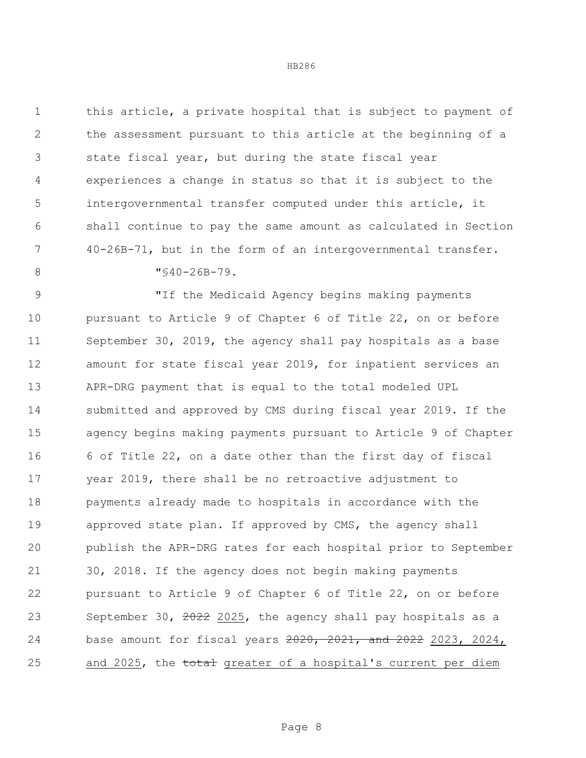this article, a private hospital that is subject to payment of the assessment pursuant to this article at the beginning of a state fiscal year, but during the state fiscal year experiences a change in status so that it is subject to the intergovernmental transfer computed under this article, it shall continue to pay the same amount as calculated in Section 40-26B-71, but in the form of an intergovernmental transfer.  $\texttt{"} \text{\textless} 40 - 26B - 79.$ 

 "If the Medicaid Agency begins making payments pursuant to Article 9 of Chapter 6 of Title 22, on or before September 30, 2019, the agency shall pay hospitals as a base amount for state fiscal year 2019, for inpatient services an APR-DRG payment that is equal to the total modeled UPL submitted and approved by CMS during fiscal year 2019. If the agency begins making payments pursuant to Article 9 of Chapter 6 of Title 22, on a date other than the first day of fiscal year 2019, there shall be no retroactive adjustment to payments already made to hospitals in accordance with the 19 approved state plan. If approved by CMS, the agency shall publish the APR-DRG rates for each hospital prior to September 30, 2018. If the agency does not begin making payments pursuant to Article 9 of Chapter 6 of Title 22, on or before 23 September 30, 2022 2025, the agency shall pay hospitals as a base amount for fiscal years 2020, 2021, and 2022 2023, 2024, 25 and 2025, the total greater of a hospital's current per diem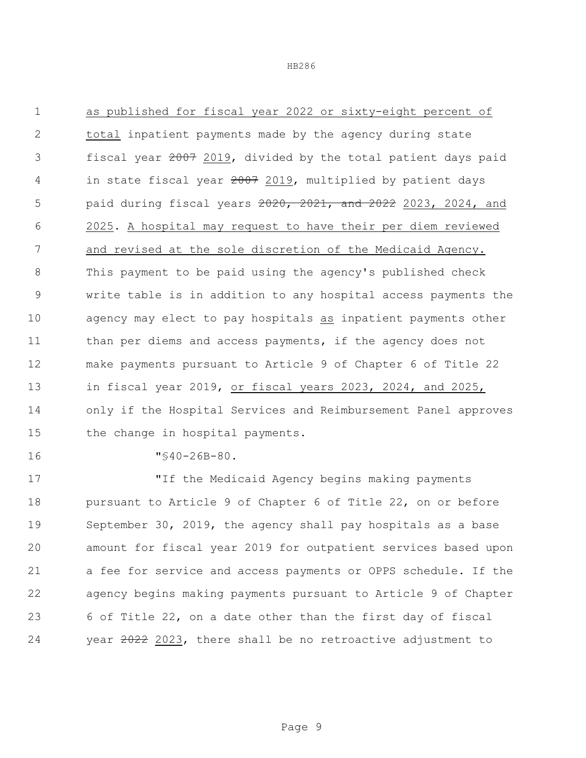as published for fiscal year 2022 or sixty-eight percent of total inpatient payments made by the agency during state fiscal year 2007 2019, divided by the total patient days paid 4 in state fiscal year 2019, multiplied by patient days paid during fiscal years 2020, 2021, and 2022 2023, 2024, and 2025. A hospital may request to have their per diem reviewed and revised at the sole discretion of the Medicaid Agency. This payment to be paid using the agency's published check write table is in addition to any hospital access payments the agency may elect to pay hospitals as inpatient payments other 11 than per diems and access payments, if the agency does not make payments pursuant to Article 9 of Chapter 6 of Title 22 in fiscal year 2019, or fiscal years 2023, 2024, and 2025, only if the Hospital Services and Reimbursement Panel approves 15 the change in hospital payments.

"§40-26B-80.

 "If the Medicaid Agency begins making payments pursuant to Article 9 of Chapter 6 of Title 22, on or before September 30, 2019, the agency shall pay hospitals as a base amount for fiscal year 2019 for outpatient services based upon a fee for service and access payments or OPPS schedule. If the agency begins making payments pursuant to Article 9 of Chapter 6 of Title 22, on a date other than the first day of fiscal year 2022 2023, there shall be no retroactive adjustment to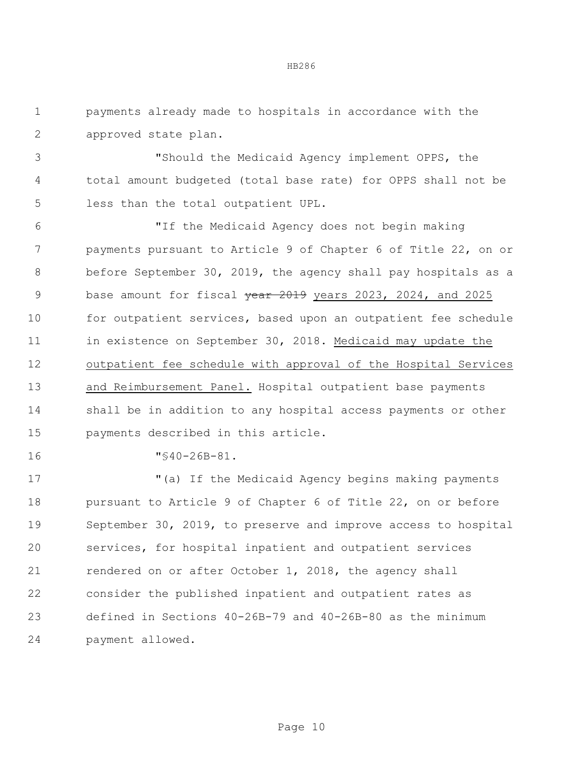payments already made to hospitals in accordance with the approved state plan.

 "Should the Medicaid Agency implement OPPS, the total amount budgeted (total base rate) for OPPS shall not be less than the total outpatient UPL.

 "If the Medicaid Agency does not begin making payments pursuant to Article 9 of Chapter 6 of Title 22, on or before September 30, 2019, the agency shall pay hospitals as a 9 base amount for fiscal vear 2019 years 2023, 2024, and 2025 10 for outpatient services, based upon an outpatient fee schedule in existence on September 30, 2018. Medicaid may update the outpatient fee schedule with approval of the Hospital Services and Reimbursement Panel. Hospital outpatient base payments shall be in addition to any hospital access payments or other payments described in this article.

"§40-26B-81.

 "(a) If the Medicaid Agency begins making payments pursuant to Article 9 of Chapter 6 of Title 22, on or before September 30, 2019, to preserve and improve access to hospital services, for hospital inpatient and outpatient services rendered on or after October 1, 2018, the agency shall consider the published inpatient and outpatient rates as defined in Sections 40-26B-79 and 40-26B-80 as the minimum payment allowed.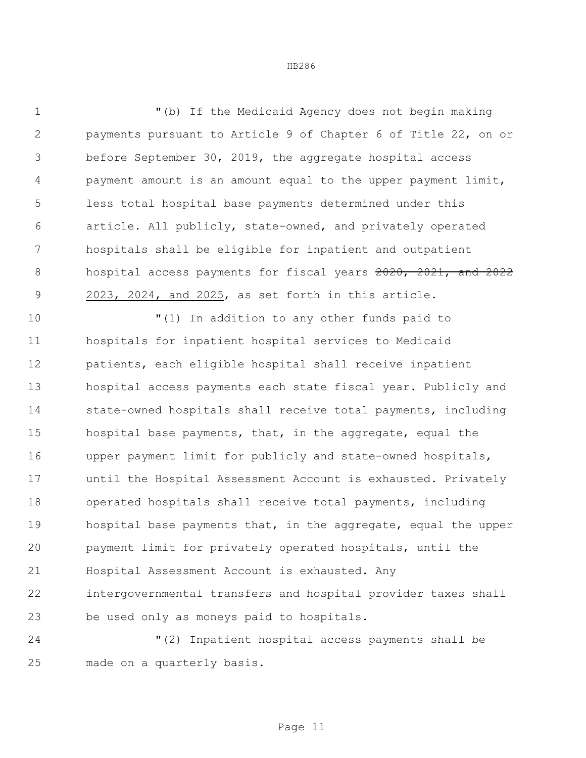"(b) If the Medicaid Agency does not begin making payments pursuant to Article 9 of Chapter 6 of Title 22, on or before September 30, 2019, the aggregate hospital access payment amount is an amount equal to the upper payment limit, less total hospital base payments determined under this article. All publicly, state-owned, and privately operated hospitals shall be eligible for inpatient and outpatient 8 hospital access payments for fiscal years 2020, 2021, and 2022 2023, 2024, and 2025, as set forth in this article.

 "(1) In addition to any other funds paid to hospitals for inpatient hospital services to Medicaid patients, each eligible hospital shall receive inpatient hospital access payments each state fiscal year. Publicly and state-owned hospitals shall receive total payments, including hospital base payments, that, in the aggregate, equal the upper payment limit for publicly and state-owned hospitals, until the Hospital Assessment Account is exhausted. Privately operated hospitals shall receive total payments, including hospital base payments that, in the aggregate, equal the upper payment limit for privately operated hospitals, until the Hospital Assessment Account is exhausted. Any intergovernmental transfers and hospital provider taxes shall be used only as moneys paid to hospitals.

 "(2) Inpatient hospital access payments shall be made on a quarterly basis.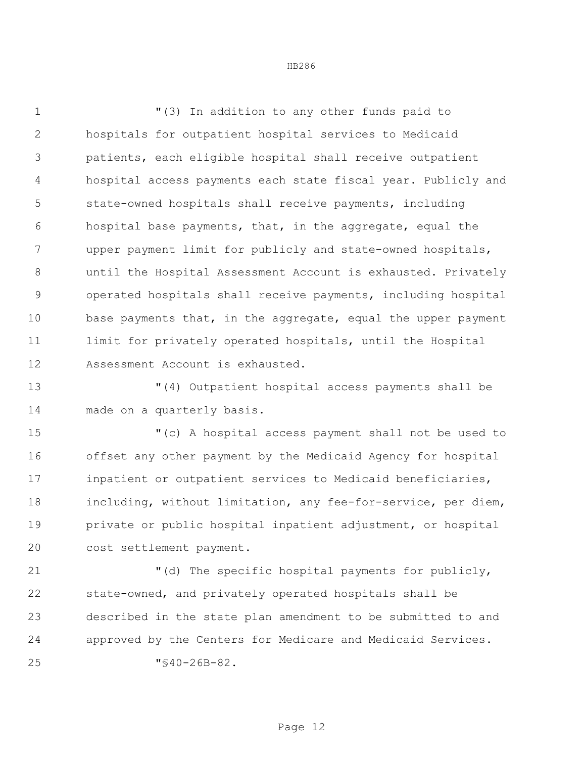"(3) In addition to any other funds paid to hospitals for outpatient hospital services to Medicaid patients, each eligible hospital shall receive outpatient hospital access payments each state fiscal year. Publicly and state-owned hospitals shall receive payments, including hospital base payments, that, in the aggregate, equal the upper payment limit for publicly and state-owned hospitals, until the Hospital Assessment Account is exhausted. Privately operated hospitals shall receive payments, including hospital 10 base payments that, in the aggregate, equal the upper payment 11 limit for privately operated hospitals, until the Hospital Assessment Account is exhausted.

 "(4) Outpatient hospital access payments shall be made on a quarterly basis.

 "(c) A hospital access payment shall not be used to offset any other payment by the Medicaid Agency for hospital inpatient or outpatient services to Medicaid beneficiaries, including, without limitation, any fee-for-service, per diem, private or public hospital inpatient adjustment, or hospital cost settlement payment.

 "(d) The specific hospital payments for publicly, state-owned, and privately operated hospitals shall be described in the state plan amendment to be submitted to and approved by the Centers for Medicare and Medicaid Services. "§40-26B-82.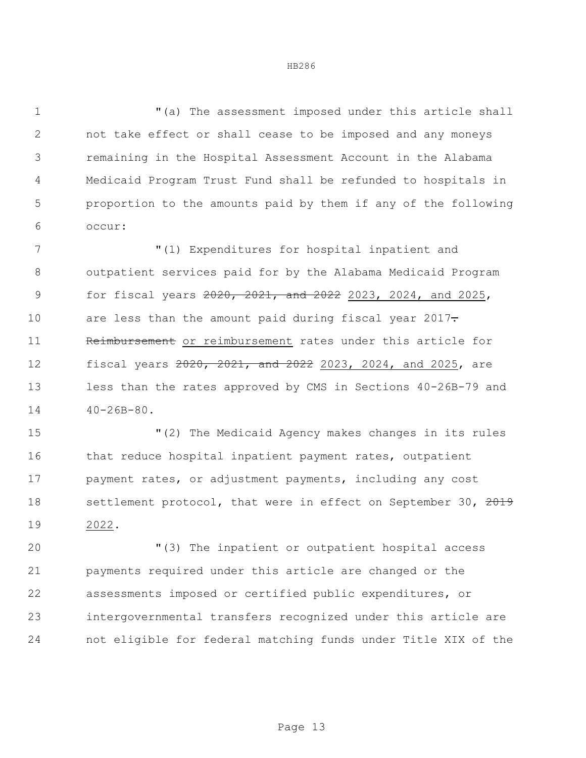"(a) The assessment imposed under this article shall not take effect or shall cease to be imposed and any moneys remaining in the Hospital Assessment Account in the Alabama Medicaid Program Trust Fund shall be refunded to hospitals in proportion to the amounts paid by them if any of the following occur:

 "(1) Expenditures for hospital inpatient and outpatient services paid for by the Alabama Medicaid Program for fiscal years 2020, 2021, and 2022 2023, 2024, and 2025, 10 are less than the amount paid during fiscal year . 11 Reimbursement or reimbursement rates under this article for fiscal years 2020, 2021, and 2022 2023, 2024, and 2025, are less than the rates approved by CMS in Sections 40-26B-79 and  $40-26B-80$ .

 "(2) The Medicaid Agency makes changes in its rules 16 that reduce hospital inpatient payment rates, outpatient payment rates, or adjustment payments, including any cost 18 settlement protocol, that were in effect on September 30, 2019 2022.

 "(3) The inpatient or outpatient hospital access payments required under this article are changed or the assessments imposed or certified public expenditures, or intergovernmental transfers recognized under this article are not eligible for federal matching funds under Title XIX of the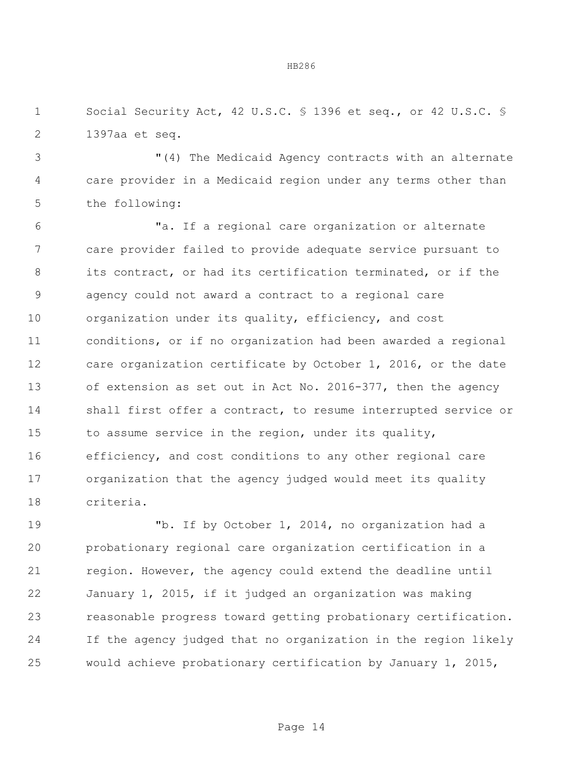1 Social Security Act, 42 U.S.C. § 1396 et seq., or 42 U.S.C. § 1397aa et seq.

 "(4) The Medicaid Agency contracts with an alternate care provider in a Medicaid region under any terms other than the following:

 "a. If a regional care organization or alternate care provider failed to provide adequate service pursuant to its contract, or had its certification terminated, or if the agency could not award a contract to a regional care organization under its quality, efficiency, and cost conditions, or if no organization had been awarded a regional care organization certificate by October 1, 2016, or the date of extension as set out in Act No. 2016-377, then the agency shall first offer a contract, to resume interrupted service or to assume service in the region, under its quality, 16 efficiency, and cost conditions to any other regional care organization that the agency judged would meet its quality criteria.

 "b. If by October 1, 2014, no organization had a probationary regional care organization certification in a region. However, the agency could extend the deadline until January 1, 2015, if it judged an organization was making reasonable progress toward getting probationary certification. If the agency judged that no organization in the region likely would achieve probationary certification by January 1, 2015,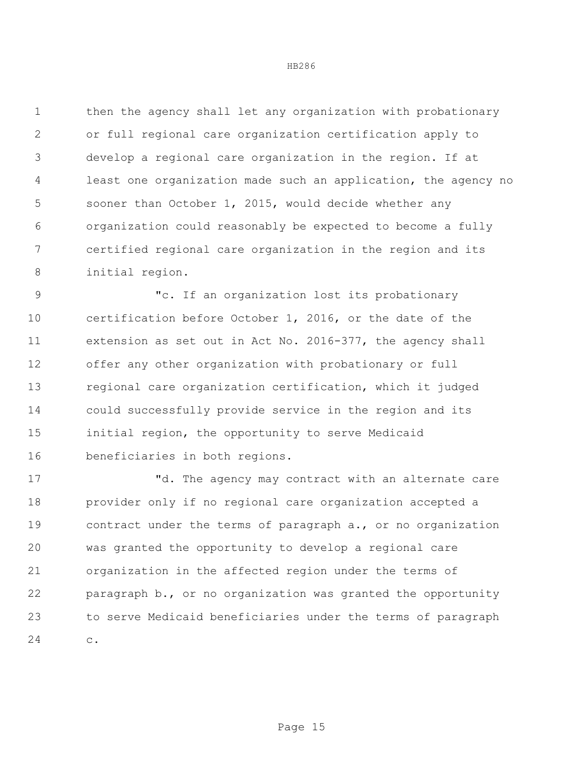then the agency shall let any organization with probationary or full regional care organization certification apply to develop a regional care organization in the region. If at least one organization made such an application, the agency no sooner than October 1, 2015, would decide whether any organization could reasonably be expected to become a fully certified regional care organization in the region and its initial region.

 "c. If an organization lost its probationary certification before October 1, 2016, or the date of the extension as set out in Act No. 2016-377, the agency shall offer any other organization with probationary or full regional care organization certification, which it judged could successfully provide service in the region and its initial region, the opportunity to serve Medicaid beneficiaries in both regions.

17 The agency may contract with an alternate care provider only if no regional care organization accepted a contract under the terms of paragraph a., or no organization was granted the opportunity to develop a regional care organization in the affected region under the terms of paragraph b., or no organization was granted the opportunity to serve Medicaid beneficiaries under the terms of paragraph c.

Page 15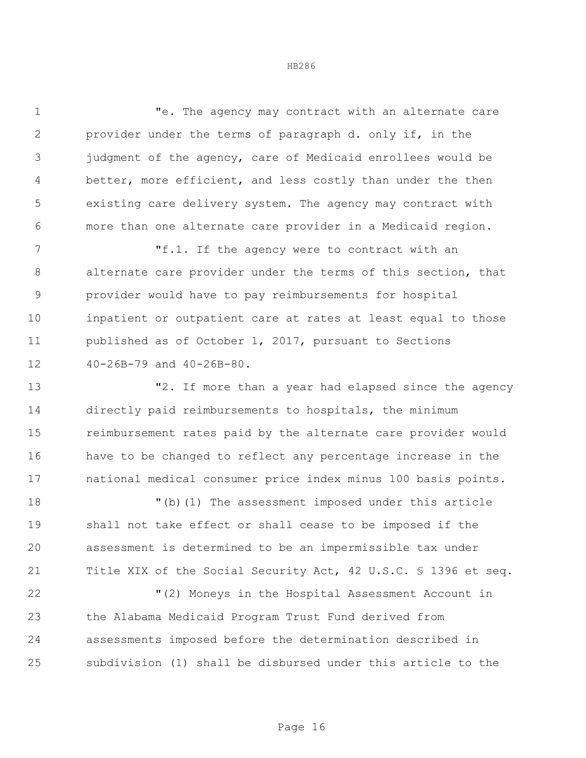"e. The agency may contract with an alternate care provider under the terms of paragraph d. only if, in the judgment of the agency, care of Medicaid enrollees would be better, more efficient, and less costly than under the then existing care delivery system. The agency may contract with more than one alternate care provider in a Medicaid region.

 "f.1. If the agency were to contract with an alternate care provider under the terms of this section, that provider would have to pay reimbursements for hospital inpatient or outpatient care at rates at least equal to those published as of October 1, 2017, pursuant to Sections 40-26B-79 and 40-26B-80.

**13 12.** If more than a year had elapsed since the agency directly paid reimbursements to hospitals, the minimum reimbursement rates paid by the alternate care provider would have to be changed to reflect any percentage increase in the national medical consumer price index minus 100 basis points.

 "(b)(1) The assessment imposed under this article shall not take effect or shall cease to be imposed if the assessment is determined to be an impermissible tax under Title XIX of the Social Security Act, 42 U.S.C. § 1396 et seq.

 "(2) Moneys in the Hospital Assessment Account in the Alabama Medicaid Program Trust Fund derived from assessments imposed before the determination described in subdivision (1) shall be disbursed under this article to the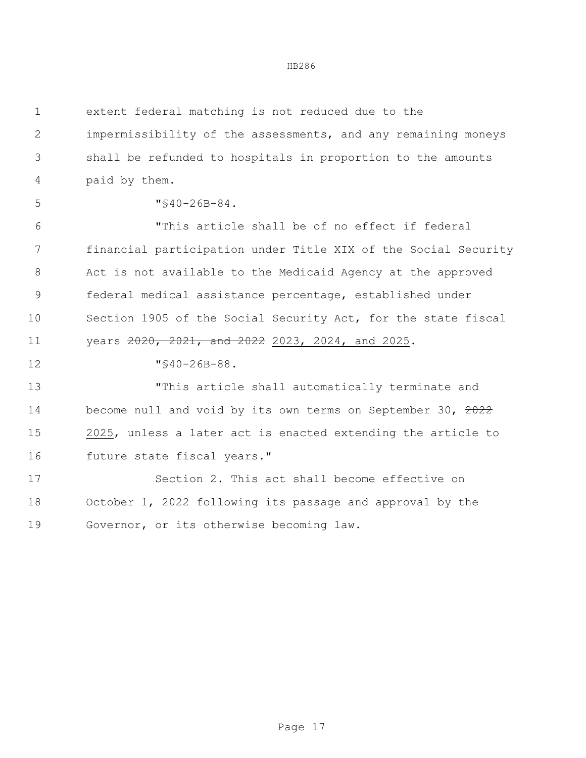extent federal matching is not reduced due to the impermissibility of the assessments, and any remaining moneys shall be refunded to hospitals in proportion to the amounts paid by them. "§40-26B-84. "This article shall be of no effect if federal financial participation under Title XIX of the Social Security Act is not available to the Medicaid Agency at the approved federal medical assistance percentage, established under Section 1905 of the Social Security Act, for the state fiscal 11 years  $2020, 2021,$  and  $2022, 2023, 2024,$  and  $2025$ . "§40-26B-88. "This article shall automatically terminate and 14 become null and void by its own terms on September 30, 2022 2025, unless a later act is enacted extending the article to future state fiscal years." Section 2. This act shall become effective on October 1, 2022 following its passage and approval by the Governor, or its otherwise becoming law.